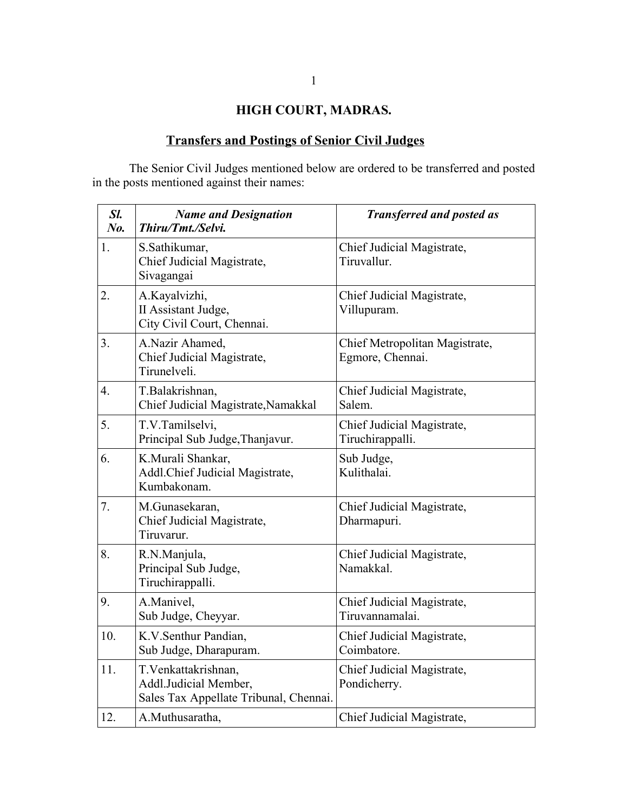## **HIGH COURT, MADRAS.**

## **Transfers and Postings of Senior Civil Judges**

The Senior Civil Judges mentioned below are ordered to be transferred and posted in the posts mentioned against their names:

| Sl.<br>$N_{0}$   | <b>Name and Designation</b><br>Thiru/Tmt./Selvi.                                        | <b>Transferred and posted as</b>                   |
|------------------|-----------------------------------------------------------------------------------------|----------------------------------------------------|
| 1.               | S.Sathikumar,<br>Chief Judicial Magistrate,<br>Sivagangai                               | Chief Judicial Magistrate,<br>Tiruvallur.          |
| 2.               | A.Kayalvizhi,<br>II Assistant Judge,<br>City Civil Court, Chennai.                      | Chief Judicial Magistrate,<br>Villupuram.          |
| 3.               | A.Nazir Ahamed,<br>Chief Judicial Magistrate,<br>Tirunelveli.                           | Chief Metropolitan Magistrate,<br>Egmore, Chennai. |
| $\overline{4}$ . | T.Balakrishnan,<br>Chief Judicial Magistrate, Namakkal                                  | Chief Judicial Magistrate,<br>Salem.               |
| 5.               | T.V.Tamilselvi,<br>Principal Sub Judge, Thanjavur.                                      | Chief Judicial Magistrate,<br>Tiruchirappalli.     |
| 6.               | K.Murali Shankar,<br>Addl.Chief Judicial Magistrate,<br>Kumbakonam.                     | Sub Judge,<br>Kulithalai.                          |
| 7.               | M.Gunasekaran,<br>Chief Judicial Magistrate,<br>Tiruvarur.                              | Chief Judicial Magistrate,<br>Dharmapuri.          |
| 8.               | R.N.Manjula,<br>Principal Sub Judge,<br>Tiruchirappalli.                                | Chief Judicial Magistrate,<br>Namakkal.            |
| 9.               | A.Manivel,<br>Sub Judge, Cheyyar.                                                       | Chief Judicial Magistrate,<br>Tiruvannamalai.      |
| 10.              | K.V.Senthur Pandian,<br>Sub Judge, Dharapuram.                                          | Chief Judicial Magistrate,<br>Coimbatore.          |
| 11.              | T. Venkattakrishnan,<br>Addl.Judicial Member,<br>Sales Tax Appellate Tribunal, Chennai. | Chief Judicial Magistrate,<br>Pondicherry.         |
| 12.              | A.Muthusaratha,                                                                         | Chief Judicial Magistrate,                         |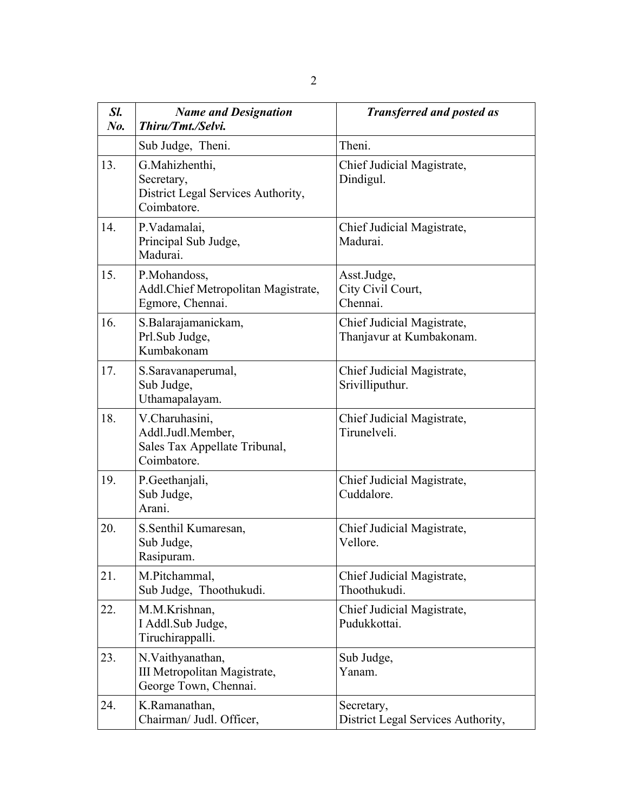| Sl.<br>$N_{0}$ . | <b>Name and Designation</b><br>Thiru/Tmt./Selvi.                                    | <b>Transferred and posted as</b>                       |
|------------------|-------------------------------------------------------------------------------------|--------------------------------------------------------|
|                  | Sub Judge, Theni.                                                                   | Theni.                                                 |
| 13.              | G.Mahizhenthi,<br>Secretary,<br>District Legal Services Authority,<br>Coimbatore.   | Chief Judicial Magistrate,<br>Dindigul.                |
| 14.              | P.Vadamalai,<br>Principal Sub Judge,<br>Madurai.                                    | Chief Judicial Magistrate,<br>Madurai.                 |
| 15.              | P.Mohandoss,<br>Addl. Chief Metropolitan Magistrate,<br>Egmore, Chennai.            | Asst.Judge,<br>City Civil Court,<br>Chennai.           |
| 16.              | S.Balarajamanickam,<br>Prl.Sub Judge,<br>Kumbakonam                                 | Chief Judicial Magistrate,<br>Thanjavur at Kumbakonam. |
| 17.              | S.Saravanaperumal,<br>Sub Judge,<br>Uthamapalayam.                                  | Chief Judicial Magistrate,<br>Srivilliputhur.          |
| 18.              | V.Charuhasini,<br>Addl.Judl.Member,<br>Sales Tax Appellate Tribunal,<br>Coimbatore. | Chief Judicial Magistrate,<br>Tirunelveli.             |
| 19.              | P.Geethanjali,<br>Sub Judge,<br>Arani.                                              | Chief Judicial Magistrate,<br>Cuddalore.               |
| 20.              | S.Senthil Kumaresan,<br>Sub Judge,<br>Rasipuram.                                    | Chief Judicial Magistrate,<br>Vellore                  |
| 21.              | M.Pitchammal,<br>Sub Judge, Thoothukudi.                                            | Chief Judicial Magistrate,<br>Thoothukudi.             |
| 22.              | M.M.Krishnan,<br>I Addl.Sub Judge,<br>Tiruchirappalli.                              | Chief Judicial Magistrate,<br>Pudukkottai.             |
| 23.              | N.Vaithyanathan,<br>III Metropolitan Magistrate,<br>George Town, Chennai.           | Sub Judge,<br>Yanam.                                   |
| 24.              | K.Ramanathan,<br>Chairman/ Judl. Officer,                                           | Secretary,<br>District Legal Services Authority,       |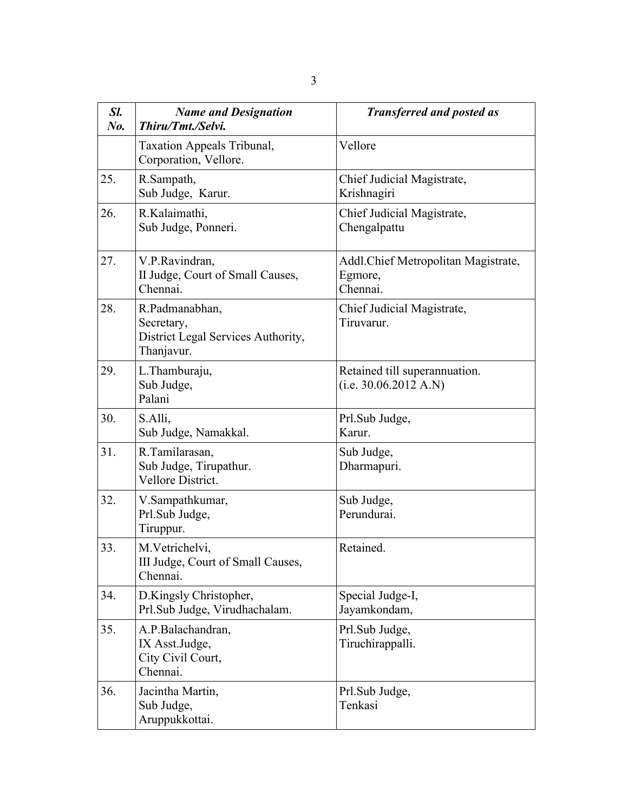| Sl.<br>$N0$ . | <b>Name and Designation</b><br>Thiru/Tmt./Selvi.                                 | <b>Transferred and posted as</b>                            |
|---------------|----------------------------------------------------------------------------------|-------------------------------------------------------------|
|               | Taxation Appeals Tribunal,<br>Corporation, Vellore.                              | Vellore                                                     |
| 25.           | R.Sampath,<br>Sub Judge, Karur.                                                  | Chief Judicial Magistrate,<br>Krishnagiri                   |
| 26.           | R.Kalaimathi,<br>Sub Judge, Ponneri.                                             | Chief Judicial Magistrate,<br>Chengalpattu                  |
| 27.           | V.P.Ravindran,<br>II Judge, Court of Small Causes,<br>Chennai.                   | Addl. Chief Metropolitan Magistrate,<br>Egmore,<br>Chennai. |
| 28.           | R.Padmanabhan,<br>Secretary,<br>District Legal Services Authority,<br>Thanjavur. | Chief Judicial Magistrate,<br>Tiruvarur.                    |
| 29.           | L.Thamburaju,<br>Sub Judge,<br>Palani                                            | Retained till superannuation.<br>(i.e. 30.06.2012 A.N)      |
| 30.           | S.Alli,<br>Sub Judge, Namakkal.                                                  | Prl.Sub Judge,<br>Karur.                                    |
| 31.           | R.Tamilarasan,<br>Sub Judge, Tirupathur.<br>Vellore District.                    | Sub Judge,<br>Dharmapuri.                                   |
| 32.           | V.Sampathkumar,<br>Prl.Sub Judge,<br>Tiruppur.                                   | Sub Judge,<br>Perundurai.                                   |
| 33.           | M.Vetrichelvi,<br>III Judge, Court of Small Causes,<br>Chennai.                  | Retained.                                                   |
| 34.           | D.Kingsly Christopher,<br>Prl.Sub Judge, Virudhachalam.                          | Special Judge-I,<br>Jayamkondam,                            |
| 35.           | A.P.Balachandran,<br>IX Asst.Judge,<br>City Civil Court,<br>Chennai.             | Prl.Sub Judge,<br>Tiruchirappalli.                          |
| 36.           | Jacintha Martin,<br>Sub Judge,<br>Aruppukkottai.                                 | Prl.Sub Judge,<br>Tenkasi                                   |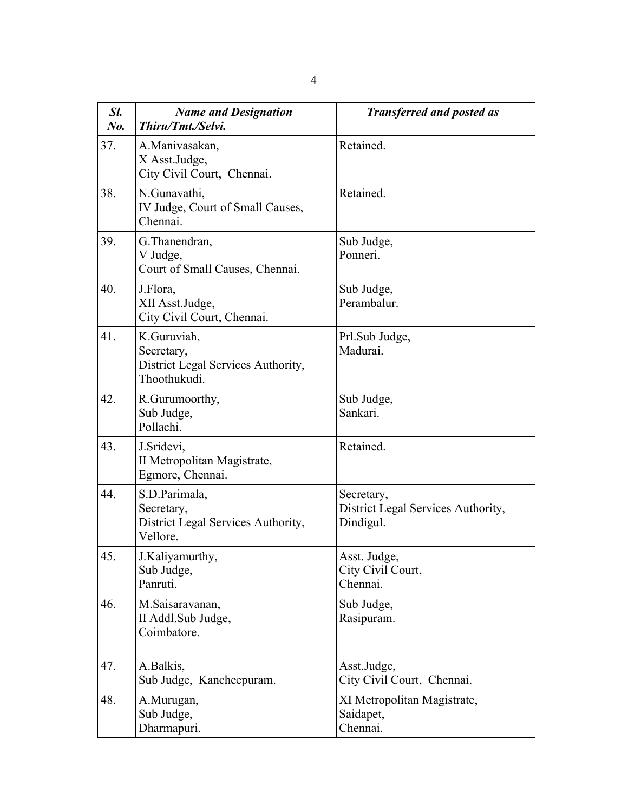| Sl.<br>$N0$ . | <b>Name and Designation</b><br>Thiru/Tmt./Selvi.                                | <b>Transferred and posted as</b>                              |
|---------------|---------------------------------------------------------------------------------|---------------------------------------------------------------|
| 37.           | A.Manivasakan,<br>X Asst.Judge,<br>City Civil Court, Chennai.                   | Retained.                                                     |
| 38.           | N.Gunavathi,<br>IV Judge, Court of Small Causes,<br>Chennai.                    | Retained.                                                     |
| 39.           | G. Thanendran,<br>V Judge,<br>Court of Small Causes, Chennai.                   | Sub Judge,<br>Ponneri.                                        |
| 40.           | J.Flora,<br>XII Asst.Judge,<br>City Civil Court, Chennai.                       | Sub Judge,<br>Perambalur.                                     |
| 41.           | K.Guruviah,<br>Secretary,<br>District Legal Services Authority,<br>Thoothukudi. | Prl.Sub Judge,<br>Madurai                                     |
| 42.           | R.Gurumoorthy,<br>Sub Judge,<br>Pollachi.                                       | Sub Judge,<br>Sankari.                                        |
| 43.           | J.Sridevi,<br>II Metropolitan Magistrate,<br>Egmore, Chennai.                   | Retained.                                                     |
| 44.           | S.D.Parimala,<br>Secretary,<br>District Legal Services Authority,<br>Vellore.   | Secretary,<br>District Legal Services Authority,<br>Dindigul. |
| 45.           | J.Kaliyamurthy,<br>Sub Judge,<br>Panruti.                                       | Asst. Judge,<br>City Civil Court,<br>Chennai.                 |
| 46.           | M.Saisaravanan,<br>II Addl.Sub Judge,<br>Coimbatore.                            | Sub Judge,<br>Rasipuram.                                      |
| 47.           | A.Balkis,<br>Sub Judge, Kancheepuram.                                           | Asst.Judge,<br>City Civil Court, Chennai.                     |
| 48.           | A.Murugan,<br>Sub Judge,<br>Dharmapuri.                                         | XI Metropolitan Magistrate,<br>Saidapet,<br>Chennai.          |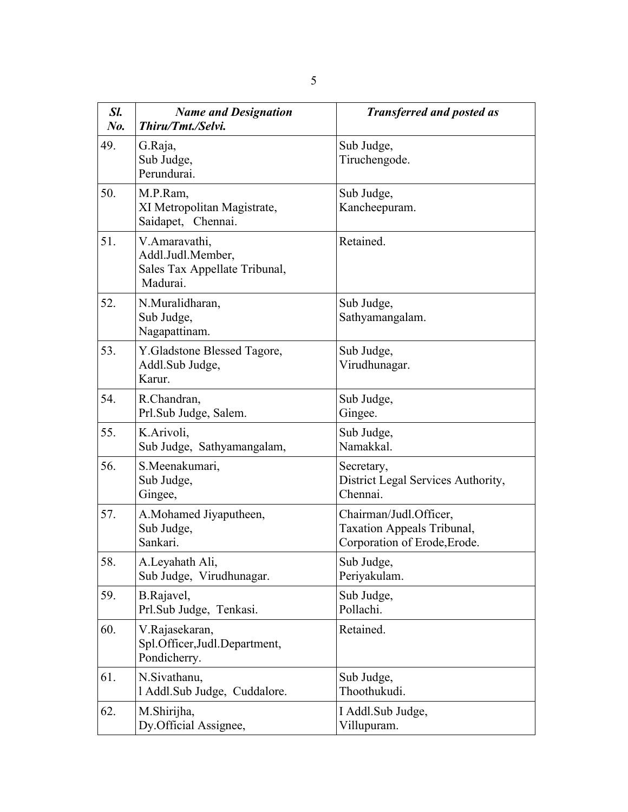| Sl.<br>No. | <b>Name and Designation</b><br>Thiru/Tmt./Selvi.                                | <b>Transferred and posted as</b>                                                            |
|------------|---------------------------------------------------------------------------------|---------------------------------------------------------------------------------------------|
| 49.        | G.Raja,<br>Sub Judge,<br>Perundurai.                                            | Sub Judge,<br>Tiruchengode.                                                                 |
| 50.        | M.P.Ram,<br>XI Metropolitan Magistrate,<br>Saidapet, Chennai.                   | Sub Judge,<br>Kancheepuram.                                                                 |
| 51.        | V.Amaravathi,<br>Addl.Judl.Member,<br>Sales Tax Appellate Tribunal,<br>Madurai. | Retained.                                                                                   |
| 52.        | N.Muralidharan,<br>Sub Judge,<br>Nagapattinam.                                  | Sub Judge,<br>Sathyamangalam.                                                               |
| 53.        | Y. Gladstone Blessed Tagore,<br>Addl.Sub Judge,<br>Karur.                       | Sub Judge,<br>Virudhunagar.                                                                 |
| 54.        | R.Chandran,<br>Prl.Sub Judge, Salem.                                            | Sub Judge,<br>Gingee.                                                                       |
| 55.        | K.Arivoli,<br>Sub Judge, Sathyamangalam,                                        | Sub Judge,<br>Namakkal.                                                                     |
| 56.        | S.Meenakumari,<br>Sub Judge,<br>Gingee,                                         | Secretary,<br>District Legal Services Authority,<br>Chennai.                                |
| 57.        | A.Mohamed Jiyaputheen,<br>Sub Judge,<br>Sankari.                                | Chairman/Judl.Officer,<br><b>Taxation Appeals Tribunal,</b><br>Corporation of Erode, Erode. |
| 58.        | A.Leyahath Ali,<br>Sub Judge, Virudhunagar.                                     | Sub Judge,<br>Periyakulam.                                                                  |
| 59.        | B.Rajavel,<br>Prl.Sub Judge, Tenkasi.                                           | Sub Judge,<br>Pollachi.                                                                     |
| 60.        | V.Rajasekaran,<br>Spl.Officer, Judl.Department,<br>Pondicherry.                 | Retained.                                                                                   |
| 61.        | N.Sivathanu,<br>1 Addl.Sub Judge, Cuddalore.                                    | Sub Judge,<br>Thoothukudi.                                                                  |
| 62.        | M.Shirijha,<br>Dy.Official Assignee,                                            | I Addl.Sub Judge,<br>Villupuram.                                                            |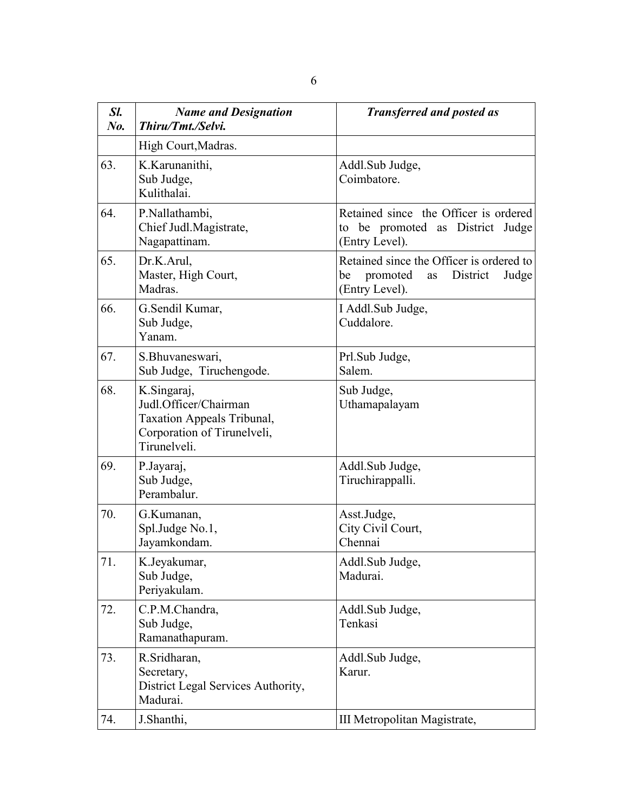| Sl.<br>$N_{0}$ . | <b>Name and Designation</b><br>Thiru/Tmt./Selvi.                                                                         | <b>Transferred and posted as</b>                                                                        |
|------------------|--------------------------------------------------------------------------------------------------------------------------|---------------------------------------------------------------------------------------------------------|
|                  | High Court, Madras.                                                                                                      |                                                                                                         |
| 63.              | K.Karunanithi,<br>Sub Judge,<br>Kulithalai.                                                                              | Addl.Sub Judge,<br>Coimbatore.                                                                          |
| 64.              | P.Nallathambi,<br>Chief Judl.Magistrate,<br>Nagapattinam.                                                                | Retained since the Officer is ordered<br>to be promoted as District<br>Judge<br>(Entry Level).          |
| 65.              | Dr.K.Arul,<br>Master, High Court,<br>Madras.                                                                             | Retained since the Officer is ordered to<br>promoted<br>District<br>Judge<br>be<br>as<br>(Entry Level). |
| 66.              | G.Sendil Kumar,<br>Sub Judge,<br>Yanam.                                                                                  | I Addl.Sub Judge,<br>Cuddalore.                                                                         |
| 67.              | S.Bhuvaneswari,<br>Sub Judge, Tiruchengode.                                                                              | Prl.Sub Judge,<br>Salem.                                                                                |
| 68.              | K.Singaraj,<br>Judl.Officer/Chairman<br><b>Taxation Appeals Tribunal,</b><br>Corporation of Tirunelveli,<br>Tirunelveli. | Sub Judge,<br>Uthamapalayam                                                                             |
| 69.              | P.Jayaraj,<br>Sub Judge,<br>Perambalur.                                                                                  | Addl.Sub Judge,<br>Tiruchirappalli.                                                                     |
| 70.              | G.Kumanan,<br>Spl.Judge No.1,<br>Jayamkondam.                                                                            | Asst.Judge,<br>City Civil Court,<br>Chennai                                                             |
| 71.              | K.Jeyakumar,<br>Sub Judge,<br>Periyakulam.                                                                               | Addl.Sub Judge,<br>Madurai.                                                                             |
| 72.              | C.P.M.Chandra,<br>Sub Judge,<br>Ramanathapuram.                                                                          | Addl.Sub Judge,<br>Tenkasi                                                                              |
| 73.              | R.Sridharan,<br>Secretary,<br>District Legal Services Authority,<br>Madurai.                                             | Addl.Sub Judge,<br>Karur.                                                                               |
| 74.              | J.Shanthi,                                                                                                               | III Metropolitan Magistrate,                                                                            |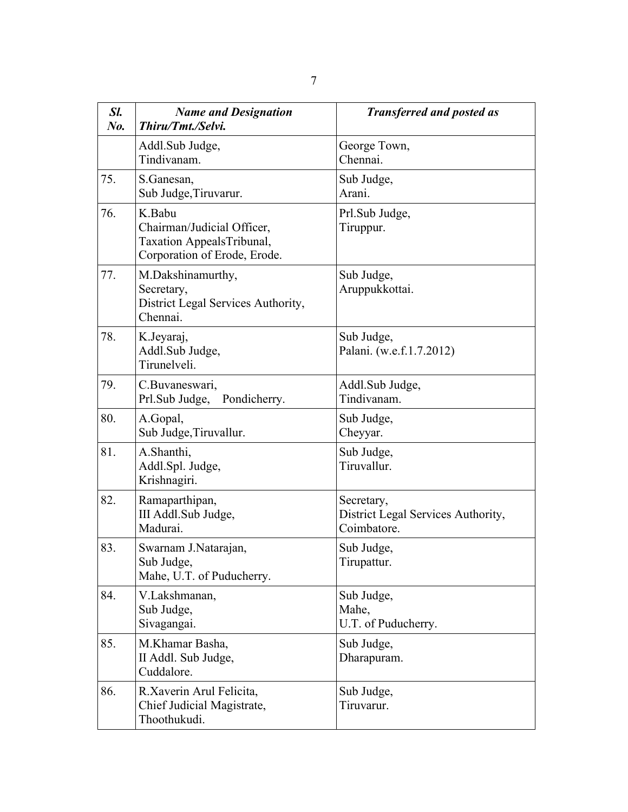| Sl.<br>No. | <b>Name and Designation</b><br>Thiru/Tmt./Selvi.                                                  | <b>Transferred and posted as</b>                                |
|------------|---------------------------------------------------------------------------------------------------|-----------------------------------------------------------------|
|            | Addl.Sub Judge,<br>Tindivanam.                                                                    | George Town,<br>Chennai.                                        |
| 75.        | S.Ganesan,<br>Sub Judge, Tiruvarur.                                                               | Sub Judge,<br>Arani.                                            |
| 76.        | K.Babu<br>Chairman/Judicial Officer,<br>Taxation AppealsTribunal,<br>Corporation of Erode, Erode. | Prl.Sub Judge,<br>Tiruppur.                                     |
| 77.        | M.Dakshinamurthy,<br>Secretary,<br>District Legal Services Authority,<br>Chennai.                 | Sub Judge,<br>Aruppukkottai.                                    |
| 78.        | K.Jeyaraj,<br>Addl.Sub Judge,<br>Tirunelveli.                                                     | Sub Judge,<br>Palani. (w.e.f.1.7.2012)                          |
| 79.        | C.Buvaneswari,<br>Prl.Sub Judge, Pondicherry.                                                     | Addl.Sub Judge,<br>Tindivanam.                                  |
| 80.        | A.Gopal,<br>Sub Judge, Tiruvallur.                                                                | Sub Judge,<br>Cheyyar.                                          |
| 81.        | A.Shanthi,<br>Addl.Spl. Judge,<br>Krishnagiri.                                                    | Sub Judge,<br>Tiruvallur.                                       |
| 82.        | Ramaparthipan,<br>III Addl.Sub Judge,<br>Madurai.                                                 | Secretary,<br>District Legal Services Authority,<br>Coimbatore. |
| 83.        | Swarnam J.Natarajan,<br>Sub Judge,<br>Mahe, U.T. of Puducherry.                                   | Sub Judge,<br>Tirupattur.                                       |
| 84.        | V.Lakshmanan,<br>Sub Judge,<br>Sivagangai.                                                        | Sub Judge,<br>Mahe,<br>U.T. of Puducherry.                      |
| 85.        | M.Khamar Basha,<br>II Addl. Sub Judge,<br>Cuddalore.                                              | Sub Judge,<br>Dharapuram.                                       |
| 86.        | R.Xaverin Arul Felicita,<br>Chief Judicial Magistrate,<br>Thoothukudi.                            | Sub Judge,<br>Tiruvarur.                                        |